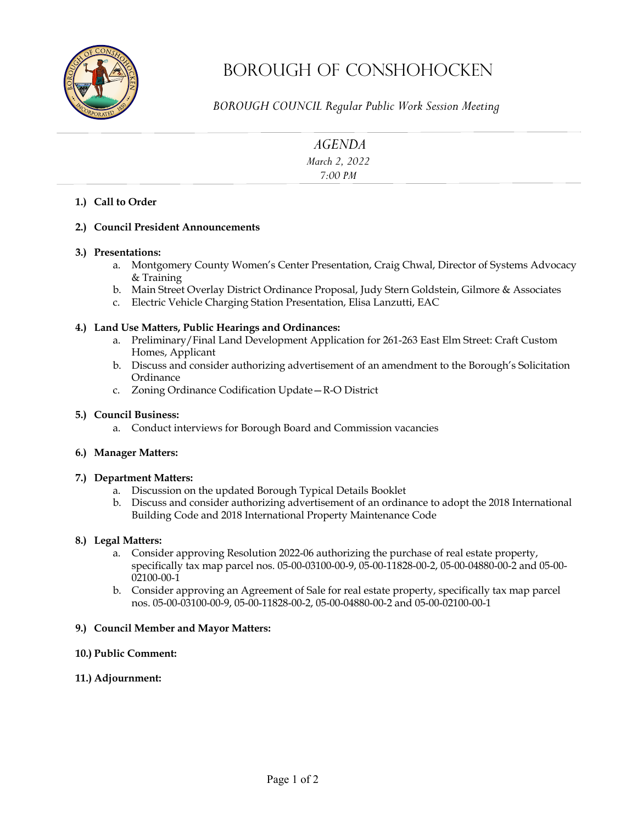

# Borough OF Conshohocken

*BOROUGH COUNCIL Regular Public Work Session Meeting* 

| <b>AGENDA</b> |  |
|---------------|--|
| March 2, 2022 |  |
| 7:00 PM       |  |
|               |  |

#### **1.) Call to Order**

#### **2.) Council President Announcements**

#### **3.) Presentations:**

- a. Montgomery County Women's Center Presentation, Craig Chwal, Director of Systems Advocacy & Training
- b. Main Street Overlay District Ordinance Proposal, Judy Stern Goldstein, Gilmore & Associates
- c. Electric Vehicle Charging Station Presentation, Elisa Lanzutti, EAC

#### **4.) Land Use Matters, Public Hearings and Ordinances:**

- a. Preliminary/Final Land Development Application for 261-263 East Elm Street: Craft Custom Homes, Applicant
- b. Discuss and consider authorizing advertisement of an amendment to the Borough's Solicitation **Ordinance**
- c. Zoning Ordinance Codification Update—R-O District

#### **5.) Council Business:**

a. Conduct interviews for Borough Board and Commission vacancies

#### **6.) Manager Matters:**

#### **7.) Department Matters:**

- a. Discussion on the updated Borough Typical Details Booklet
- b. Discuss and consider authorizing advertisement of an ordinance to adopt the 2018 International Building Code and 2018 International Property Maintenance Code

#### **8.) Legal Matters:**

- a. Consider approving Resolution 2022-06 authorizing the purchase of real estate property, specifically tax map parcel nos. 05-00-03100-00-9, 05-00-11828-00-2, 05-00-04880-00-2 and 05-00- 02100-00-1
- b. Consider approving an Agreement of Sale for real estate property, specifically tax map parcel nos. 05-00-03100-00-9, 05-00-11828-00-2, 05-00-04880-00-2 and 05-00-02100-00-1

#### **9.) Council Member and Mayor Matters:**

- **10.) Public Comment:**
- **11.) Adjournment:**